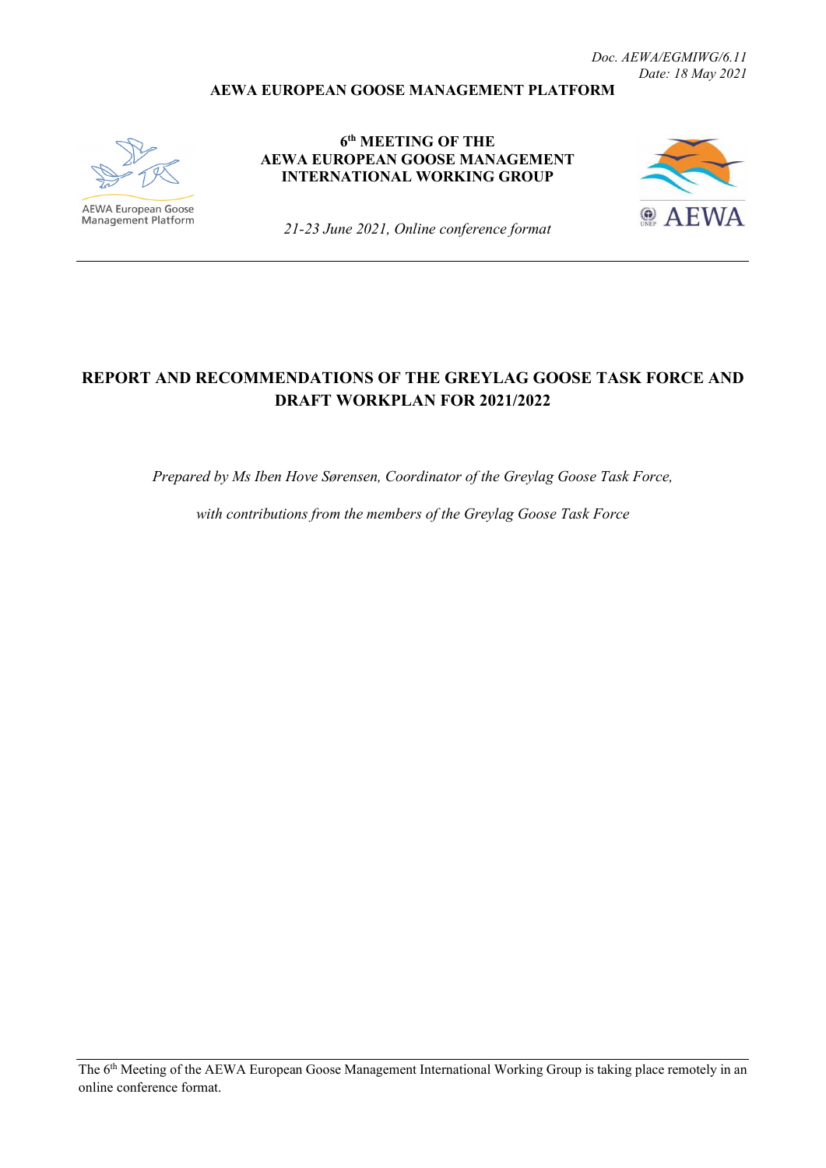#### **AEWA EUROPEAN GOOSE MANAGEMENT PLATFORM**



**AEWA European Goose**<br>Management Platform

**6th MEETING OF THE AEWA EUROPEAN GOOSE MANAGEMENT INTERNATIONAL WORKING GROUP**



*21-23 June 2021, Online conference format*

## **REPORT AND RECOMMENDATIONS OF THE GREYLAG GOOSE TASK FORCE AND DRAFT WORKPLAN FOR 2021/2022**

*Prepared by Ms Iben Hove Sørensen, Coordinator of the Greylag Goose Task Force,* 

*with contributions from the members of the Greylag Goose Task Force*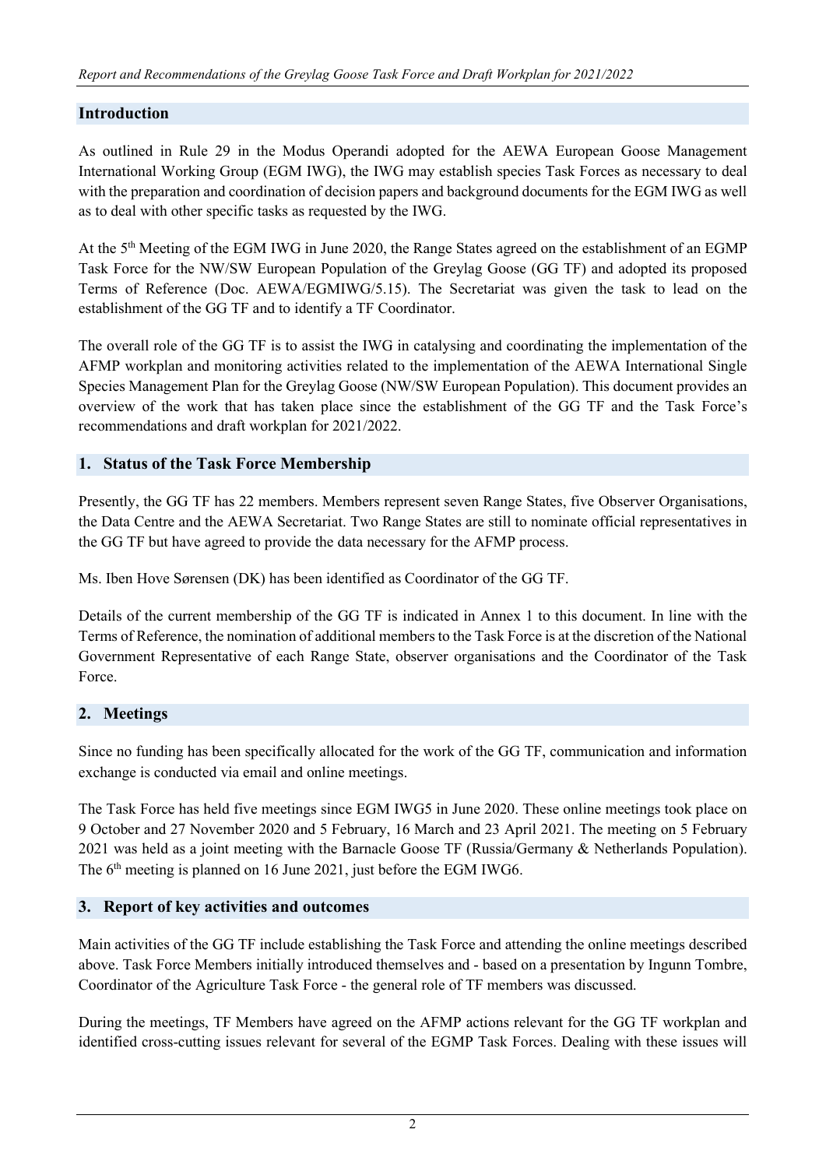### **Introduction**

As outlined in Rule 29 in the Modus Operandi adopted for the AEWA European Goose Management International Working Group (EGM IWG), the IWG may establish species Task Forces as necessary to deal with the preparation and coordination of decision papers and background documents for the EGM IWG as well as to deal with other specific tasks as requested by the IWG.

At the  $5<sup>th</sup>$  Meeting of the EGM IWG in June 2020, the Range States agreed on the establishment of an EGMP Task Force for the NW/SW European Population of the Greylag Goose (GG TF) and adopted its proposed Terms of Reference (Doc. AEWA/EGMIWG/5.15). The Secretariat was given the task to lead on the establishment of the GG TF and to identify a TF Coordinator.

The overall role of the GG TF is to assist the IWG in catalysing and coordinating the implementation of the AFMP workplan and monitoring activities related to the implementation of the AEWA International Single Species Management Plan for the Greylag Goose (NW/SW European Population). This document provides an overview of the work that has taken place since the establishment of the GG TF and the Task Force's recommendations and draft workplan for 2021/2022.

#### **1. Status of the Task Force Membership**

Presently, the GG TF has 22 members. Members represent seven Range States, five Observer Organisations, the Data Centre and the AEWA Secretariat. Two Range States are still to nominate official representatives in the GG TF but have agreed to provide the data necessary for the AFMP process.

Ms. Iben Hove Sørensen (DK) has been identified as Coordinator of the GG TF.

Details of the current membership of the GG TF is indicated in Annex 1 to this document. In line with the Terms of Reference, the nomination of additional members to the Task Force is at the discretion of the National Government Representative of each Range State, observer organisations and the Coordinator of the Task Force.

### **2. Meetings**

Since no funding has been specifically allocated for the work of the GG TF, communication and information exchange is conducted via email and online meetings.

The Task Force has held five meetings since EGM IWG5 in June 2020. These online meetings took place on 9 October and 27 November 2020 and 5 February, 16 March and 23 April 2021. The meeting on 5 February 2021 was held as a joint meeting with the Barnacle Goose TF (Russia/Germany & Netherlands Population). The 6<sup>th</sup> meeting is planned on 16 June 2021, just before the EGM IWG6.

### **3. Report of key activities and outcomes**

Main activities of the GG TF include establishing the Task Force and attending the online meetings described above. Task Force Members initially introduced themselves and - based on a presentation by Ingunn Tombre, Coordinator of the Agriculture Task Force - the general role of TF members was discussed.

During the meetings, TF Members have agreed on the AFMP actions relevant for the GG TF workplan and identified cross-cutting issues relevant for several of the EGMP Task Forces. Dealing with these issues will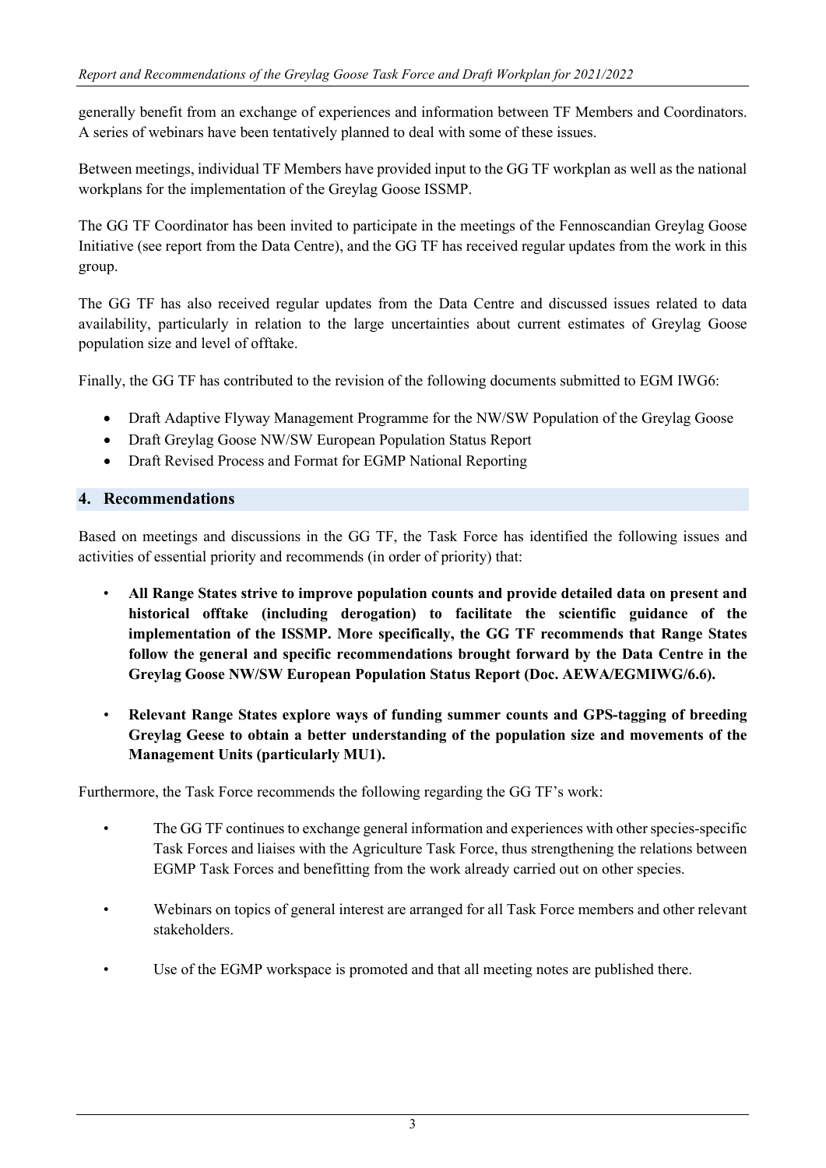generally benefit from an exchange of experiences and information between TF Members and Coordinators. A series of webinars have been tentatively planned to deal with some of these issues.

Between meetings, individual TF Members have provided input to the GG TF workplan as well as the national workplans for the implementation of the Greylag Goose ISSMP.

The GG TF Coordinator has been invited to participate in the meetings of the Fennoscandian Greylag Goose Initiative (see report from the Data Centre), and the GG TF has received regular updates from the work in this group.

The GG TF has also received regular updates from the Data Centre and discussed issues related to data availability, particularly in relation to the large uncertainties about current estimates of Greylag Goose population size and level of offtake.

Finally, the GG TF has contributed to the revision of the following documents submitted to EGM IWG6:

- Draft Adaptive Flyway Management Programme for the NW/SW Population of the Greylag Goose
- Draft Greylag Goose NW/SW European Population Status Report
- Draft Revised Process and Format for EGMP National Reporting

#### **4. Recommendations**

Based on meetings and discussions in the GG TF, the Task Force has identified the following issues and activities of essential priority and recommends (in order of priority) that:

- **All Range States strive to improve population counts and provide detailed data on present and historical offtake (including derogation) to facilitate the scientific guidance of the implementation of the ISSMP. More specifically, the GG TF recommends that Range States follow the general and specific recommendations brought forward by the Data Centre in the Greylag Goose NW/SW European Population Status Report (Doc. AEWA/EGMIWG/6.6).**
- **Relevant Range States explore ways of funding summer counts and GPS-tagging of breeding Greylag Geese to obtain a better understanding of the population size and movements of the Management Units (particularly MU1).**

Furthermore, the Task Force recommends the following regarding the GG TF's work:

- The GG TF continues to exchange general information and experiences with other species-specific Task Forces and liaises with the Agriculture Task Force, thus strengthening the relations between EGMP Task Forces and benefitting from the work already carried out on other species.
- Webinars on topics of general interest are arranged for all Task Force members and other relevant stakeholders.
- Use of the EGMP workspace is promoted and that all meeting notes are published there.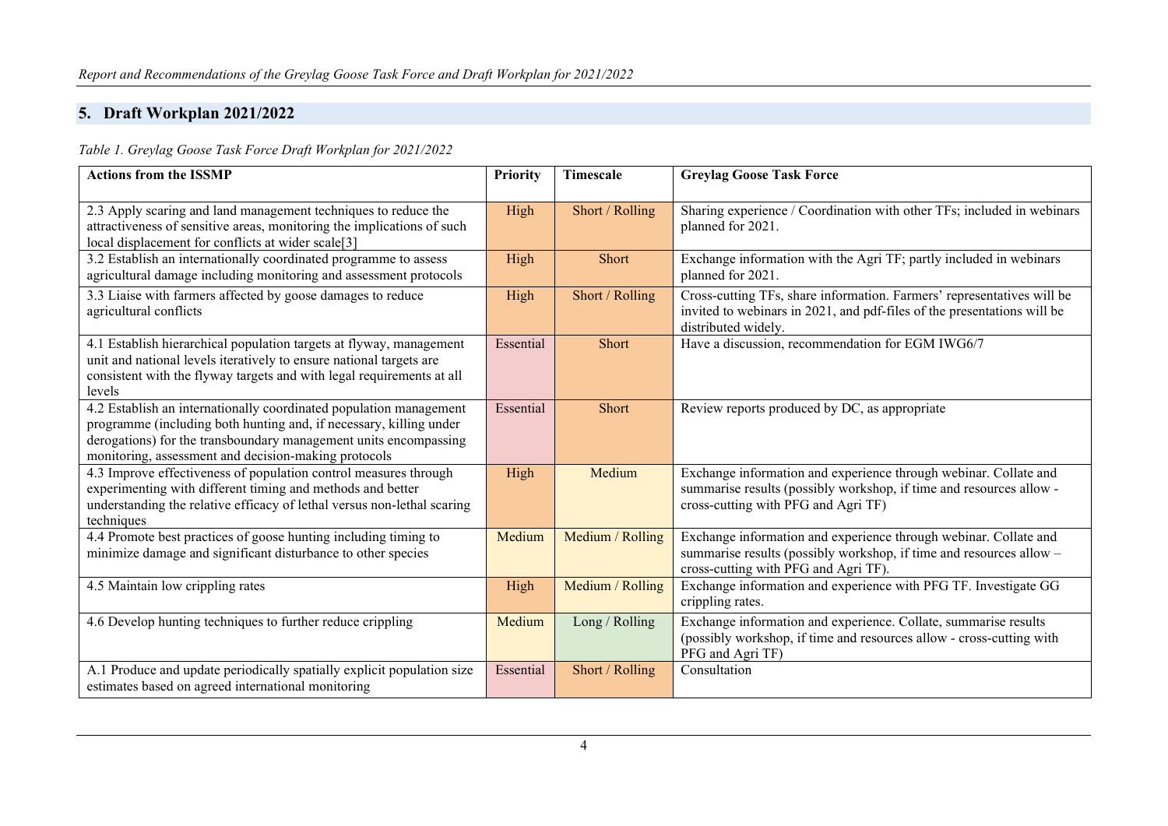# **5. Draft Workplan 2021/2022**

*Table 1. Greylag Goose Task Force Draft Workplan for 2021/2022*

| <b>Actions from the ISSMP</b>                                                                                                                                                                                                                                        | <b>Priority</b> | Timescale        | <b>Greylag Goose Task Force</b>                                                                                                                                                 |
|----------------------------------------------------------------------------------------------------------------------------------------------------------------------------------------------------------------------------------------------------------------------|-----------------|------------------|---------------------------------------------------------------------------------------------------------------------------------------------------------------------------------|
| 2.3 Apply scaring and land management techniques to reduce the<br>attractiveness of sensitive areas, monitoring the implications of such<br>local displacement for conflicts at wider scale[3]                                                                       | High            | Short / Rolling  | Sharing experience / Coordination with other TFs; included in webinars<br>planned for 2021.                                                                                     |
| 3.2 Establish an internationally coordinated programme to assess<br>agricultural damage including monitoring and assessment protocols                                                                                                                                | High            | Short            | Exchange information with the Agri TF; partly included in webinars<br>planned for 2021.                                                                                         |
| 3.3 Liaise with farmers affected by goose damages to reduce<br>agricultural conflicts                                                                                                                                                                                | High            | Short / Rolling  | Cross-cutting TFs, share information. Farmers' representatives will be<br>invited to webinars in 2021, and pdf-files of the presentations will be<br>distributed widely.        |
| 4.1 Establish hierarchical population targets at flyway, management<br>unit and national levels iteratively to ensure national targets are<br>consistent with the flyway targets and with legal requirements at all<br>levels                                        | Essential       | Short            | Have a discussion, recommendation for EGM IWG6/7                                                                                                                                |
| 4.2 Establish an internationally coordinated population management<br>programme (including both hunting and, if necessary, killing under<br>derogations) for the transboundary management units encompassing<br>monitoring, assessment and decision-making protocols | Essential       | Short            | Review reports produced by DC, as appropriate                                                                                                                                   |
| 4.3 Improve effectiveness of population control measures through<br>experimenting with different timing and methods and better<br>understanding the relative efficacy of lethal versus non-lethal scaring<br>techniques                                              | High            | Medium           | Exchange information and experience through webinar. Collate and<br>summarise results (possibly workshop, if time and resources allow -<br>cross-cutting with PFG and Agri TF)  |
| 4.4 Promote best practices of goose hunting including timing to<br>minimize damage and significant disturbance to other species                                                                                                                                      | Medium          | Medium / Rolling | Exchange information and experience through webinar. Collate and<br>summarise results (possibly workshop, if time and resources allow -<br>cross-cutting with PFG and Agri TF). |
| 4.5 Maintain low crippling rates                                                                                                                                                                                                                                     | High            | Medium / Rolling | Exchange information and experience with PFG TF. Investigate GG<br>crippling rates.                                                                                             |
| 4.6 Develop hunting techniques to further reduce crippling                                                                                                                                                                                                           | Medium          | Long / Rolling   | Exchange information and experience. Collate, summarise results<br>(possibly workshop, if time and resources allow - cross-cutting with<br>PFG and Agri TF)                     |
| A.1 Produce and update periodically spatially explicit population size<br>estimates based on agreed international monitoring                                                                                                                                         | Essential       | Short / Rolling  | Consultation                                                                                                                                                                    |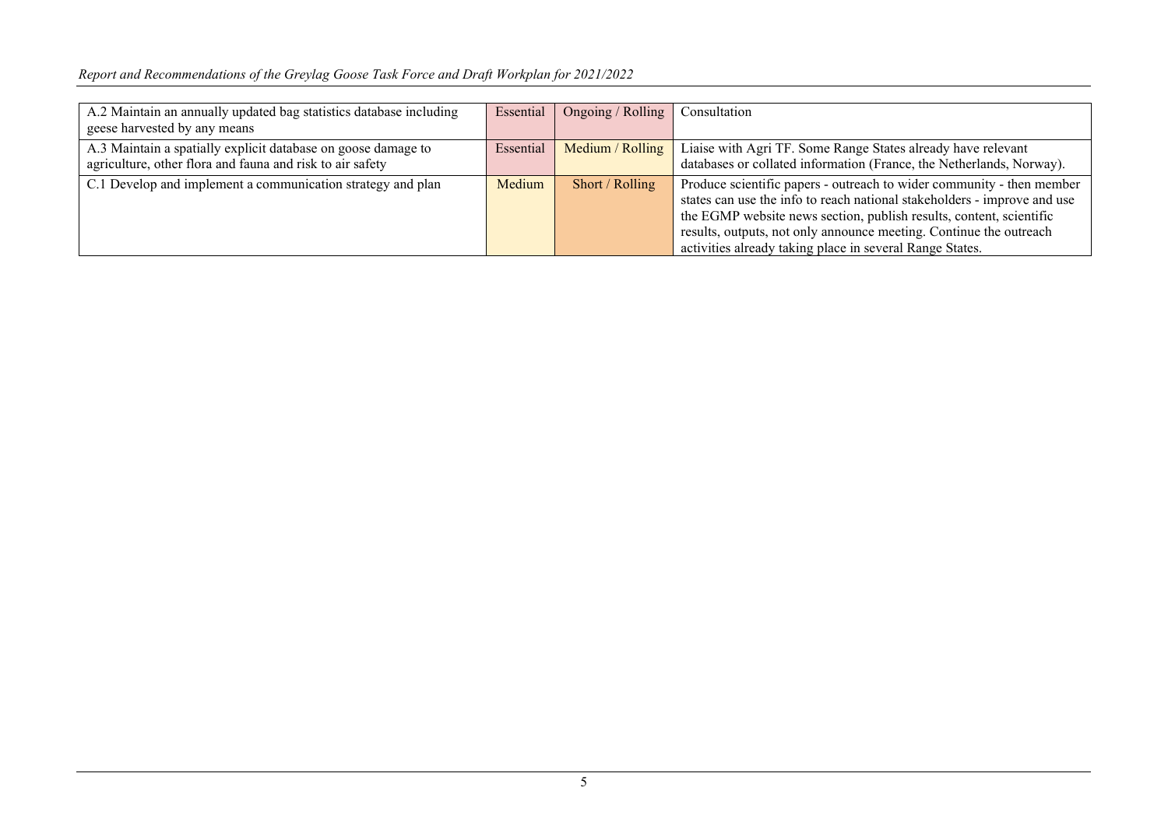| A.2 Maintain an annually updated bag statistics database including<br>geese harvested by any means                         | Essential | Ongoing / Rolling  | Consultation                                                                                                                                                                                                                                                                                                                                               |
|----------------------------------------------------------------------------------------------------------------------------|-----------|--------------------|------------------------------------------------------------------------------------------------------------------------------------------------------------------------------------------------------------------------------------------------------------------------------------------------------------------------------------------------------------|
| A.3 Maintain a spatially explicit database on goose damage to<br>agriculture, other flora and fauna and risk to air safety | Essential | Medium / $Rolling$ | Liaise with Agri TF. Some Range States already have relevant<br>databases or collated information (France, the Netherlands, Norway).                                                                                                                                                                                                                       |
| C.1 Develop and implement a communication strategy and plan                                                                | Medium    | Short / Rolling    | Produce scientific papers - outreach to wider community - then member<br>states can use the info to reach national stakeholders - improve and use<br>the EGMP website news section, publish results, content, scientific<br>results, outputs, not only announce meeting. Continue the outreach<br>activities already taking place in several Range States. |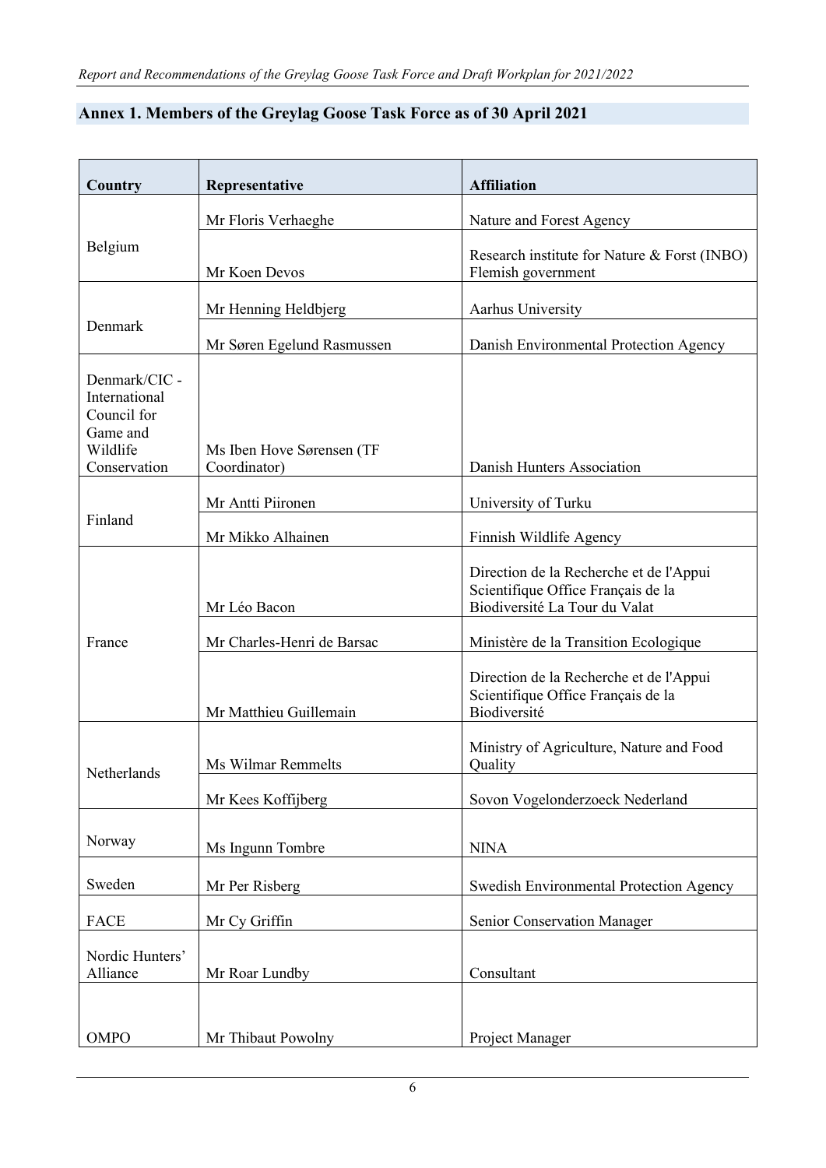| Country                                                                               | Representative                            | <b>Affiliation</b>                                                                                             |
|---------------------------------------------------------------------------------------|-------------------------------------------|----------------------------------------------------------------------------------------------------------------|
|                                                                                       | Mr Floris Verhaeghe                       | Nature and Forest Agency                                                                                       |
| Belgium                                                                               | Mr Koen Devos                             | Research institute for Nature & Forst (INBO)<br>Flemish government                                             |
| Denmark                                                                               | Mr Henning Heldbjerg                      | Aarhus University                                                                                              |
|                                                                                       | Mr Søren Egelund Rasmussen                | Danish Environmental Protection Agency                                                                         |
| Denmark/CIC -<br>International<br>Council for<br>Game and<br>Wildlife<br>Conservation | Ms Iben Hove Sørensen (TF<br>Coordinator) | Danish Hunters Association                                                                                     |
| Finland                                                                               | Mr Antti Piironen                         | University of Turku                                                                                            |
|                                                                                       | Mr Mikko Alhainen                         | Finnish Wildlife Agency                                                                                        |
| France                                                                                | Mr Léo Bacon                              | Direction de la Recherche et de l'Appui<br>Scientifique Office Français de la<br>Biodiversité La Tour du Valat |
|                                                                                       | Mr Charles-Henri de Barsac                | Ministère de la Transition Ecologique                                                                          |
|                                                                                       | Mr Matthieu Guillemain                    | Direction de la Recherche et de l'Appui<br>Scientifique Office Français de la<br>Biodiversité                  |
| Netherlands                                                                           | Ms Wilmar Remmelts                        | Ministry of Agriculture, Nature and Food<br>Quality                                                            |
|                                                                                       | Mr Kees Koffijberg                        | Sovon Vogelonderzoeck Nederland                                                                                |
| Norway                                                                                | Ms Ingunn Tombre                          | <b>NINA</b>                                                                                                    |
| Sweden                                                                                | Mr Per Risberg                            | Swedish Environmental Protection Agency                                                                        |
| <b>FACE</b>                                                                           | Mr Cy Griffin                             | Senior Conservation Manager                                                                                    |
| Nordic Hunters'<br>Alliance                                                           | Mr Roar Lundby                            | Consultant                                                                                                     |
| OMPO                                                                                  | Mr Thibaut Powolny                        | Project Manager                                                                                                |

## **Annex 1. Members of the Greylag Goose Task Force as of 30 April 2021**